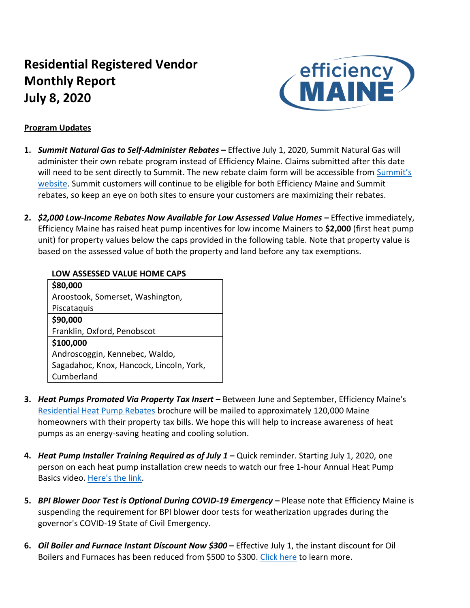# **Residential Registered Vendor Monthly Report July 8, 2020**



## **Program Updates**

- **1.** *Summit Natural Gas to Self-Administer Rebates* **–** Effective July 1, 2020, Summit Natural Gas will administer their own rebate program instead of Efficiency Maine. Claims submitted after this date will need to be sent directly to Summit. The new rebate claim form will be accessible from Summit's [website.](https://summitnaturalgasmaine.com/rebates) Summit customers will continue to be eligible for both Efficiency Maine and Summit rebates, so keep an eye on both sites to ensure your customers are maximizing their rebates.
- 2. *\$2,000 Low-Income Rebates Now Available for Low Assessed Value Homes Effective immediately,* Efficiency Maine has raised heat pump incentives for low income Mainers to **\$2,000** (first heat pump unit) for property values below the caps provided in the following table. Note that property value is based on the assessed value of both the property and land before any tax exemptions.

## **LOW ASSESSED VALUE HOME CAPS**

| \$80,000                                 |
|------------------------------------------|
| Aroostook, Somerset, Washington,         |
| Piscataquis                              |
| \$90,000                                 |
| Franklin, Oxford, Penobscot              |
| \$100,000                                |
| Androscoggin, Kennebec, Waldo,           |
| Sagadahoc, Knox, Hancock, Lincoln, York, |
| Cumberland                               |

- **3.** *Heat Pumps Promoted Via Property Tax Insert* **–** Between June and September, Efficiency Maine's [Residential Heat Pump Rebates](https://www.efficiencymaine.com/docs/Heat-Pump-Rebate-Brochure.pdf) brochure will be mailed to approximately 120,000 Maine homeowners with their property tax bills. We hope this will help to increase awareness of heat pumps as an energy-saving heating and cooling solution.
- **4.** *Heat Pump Installer Training Required as of July 1* **–** Quick reminder. Starting July 1, 2020, one person on each heat pump installation crew needs to watch our free 1-hour Annual Heat Pump Basics video. [Here's the link.](https://www.efficiencymainetraining.com/)
- **5.** *BPI Blower Door Test is Optional During COVID-19 Emergency* **–** Please note that Efficiency Maine is suspending the requirement for BPI blower door tests for weatherization upgrades during the governor's COVID-19 State of Civil Emergency.
- **6.** *Oil Boiler and Furnace Instant Discount Now \$300* **–** Effective July 1, the instant discount for Oil Boilers and Furnaces has been reduced from \$500 to \$300. [Click here](https://www.efficiencymaine.com/at-home/boilers-and-furnaces/) to learn more.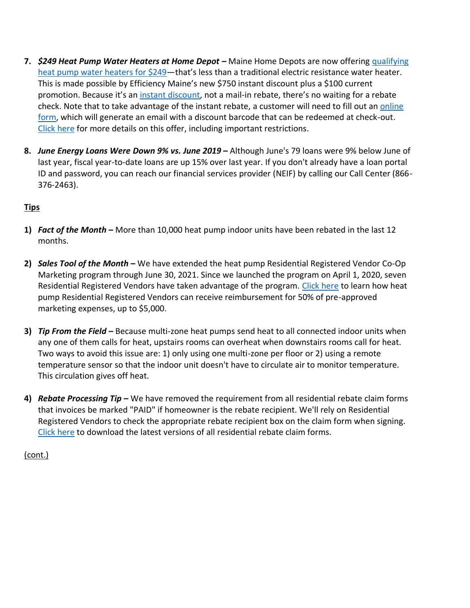- **7.** *\$249 Heat Pump Water Heaters at Home Depot* **–** Maine Home Depots are now offering [qualifying](https://www.efficiencymaine.com/docs/EM-HPWH-Instant-Rebate-Locations.pdf)  [heat pump water heaters for \\$249](https://www.efficiencymaine.com/docs/EM-HPWH-Instant-Rebate-Locations.pdf)—that's less than a traditional electric resistance water heater. This is made possible by Efficiency Maine's new \$750 instant discount plus a \$100 current promotion. Because it's an [instant discount,](https://emaineinstant.dsmtracker.com/) not a mail-in rebate, there's no waiting for a rebate check. Note that to take advantage of the instant rebate, a customer will need to fill out an [online](https://emaineinstant.dsmtracker.com/)  [form,](https://emaineinstant.dsmtracker.com/) which will generate an email with a discount barcode that can be redeemed at check-out. [Click here](https://www.efficiencymaine.com/at-home/heat-pump-water-heater-program/) for more details on this offer, including important restrictions.
- **8.** *June Energy Loans Were Down 9% vs. June 2019* **–** Although June's 79 loans were 9% below June of last year, fiscal year-to-date loans are up 15% over last year. If you don't already have a loan portal ID and password, you can reach our financial services provider (NEIF) by calling our Call Center (866- 376-2463).

# **Tips**

- **1)** *Fact of the Month* **–** More than 10,000 heat pump indoor units have been rebated in the last 12 months.
- **2)** *Sales Tool of the Month* **–** We have extended the heat pump Residential Registered Vendor Co-Op Marketing program through June 30, 2021. Since we launched the program on April 1, 2020, seven Residential Registered Vendors have taken advantage of the program. [Click here](https://www.efficiencymaine.com/docs/Efficiency-Maine-Residential-Heat-Pump-Coop-Marketing-Program-Forms.pdf) to learn how heat pump Residential Registered Vendors can receive reimbursement for 50% of pre-approved marketing expenses, up to \$5,000.
- **3)** *Tip From the Field –* Because multi-zone heat pumps send heat to all connected indoor units when any one of them calls for heat, upstairs rooms can overheat when downstairs rooms call for heat. Two ways to avoid this issue are: 1) only using one multi-zone per floor or 2) using a remote temperature sensor so that the indoor unit doesn't have to circulate air to monitor temperature. This circulation gives off heat.
- **4)** *Rebate Processing Tip* **–** We have removed the requirement from all residential rebate claim forms that invoices be marked "PAID" if homeowner is the rebate recipient. We'll rely on Residential Registered Vendors to check the appropriate rebate recipient box on the claim form when signing. [Click here](https://www.efficiencymaine.com/at-home/residential-forms/) to download the latest versions of all residential rebate claim forms.

(cont.)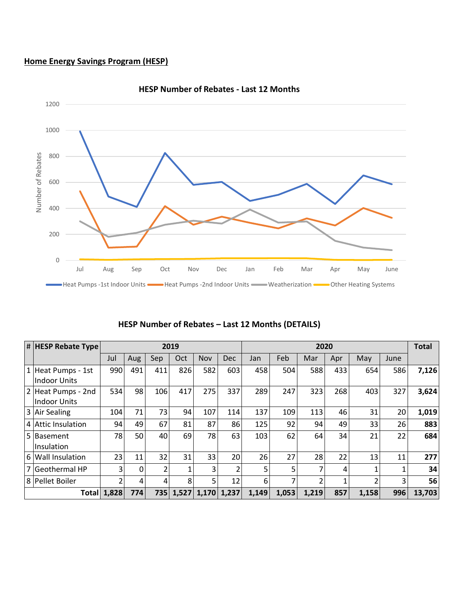# **Home Energy Savings Program (HESP)**



#### **HESP Number of Rebates - Last 12 Months**

| # HESP Rebate Type | 2019  |     |     |           |       | 2020           |       |       |       |     |       | <b>Total</b> |        |
|--------------------|-------|-----|-----|-----------|-------|----------------|-------|-------|-------|-----|-------|--------------|--------|
|                    | Jul   | Aug | Sep | Oct       | Nov   | <b>Dec</b>     | Jan   | Feb   | Mar   | Apr | May   | June         |        |
| 1 Heat Pumps - 1st | 990   | 491 | 411 | 826       | 582   | 603            | 458   | 504   | 588   | 433 | 654   | 586          | 7,126  |
| Indoor Units       |       |     |     |           |       |                |       |       |       |     |       |              |        |
| 2 Heat Pumps - 2nd | 534   | 98  | 106 | 417       | 275   | 337            | 289   | 247   | 323   | 268 | 403   | 327          | 3,624  |
| Indoor Units       |       |     |     |           |       |                |       |       |       |     |       |              |        |
| 3 Air Sealing      | 104   | 71  | 73  | 94        | 107   | 114            | 137   | 109   | 113   | 46  | 31    | 20           | 1,019  |
| 4 Attic Insulation | 94    | 49  | 67  | 81        | 87    | 86             | 125   | 92    | 94    | 49  | 33    | 26           | 883    |
| 5 Basement         | 78    | 50  | 40  | 69        | 78    | 63             | 103   | 62    | 64    | 34  | 21    | 22           | 684    |
| Insulation         |       |     |     |           |       |                |       |       |       |     |       |              |        |
| 6 Wall Insulation  | 23    | 11  | 32  | 31        | 33    | 20             | 26    | 27    | 28    | 22  | 13    | 11           | 277    |
| 7 Geothermal HP    | 3     | 0   | 2   |           | 3     | $\overline{2}$ | 5     | 5     | 7     | 4   |       | 1            | 34     |
| 8 Pellet Boiler    | 2     | 4   | 4   | 8         | 5     | 12             | 6     | 7     | 2     |     |       | 3            | 56     |
| Totall             | 1,828 | 774 |     | 735 1,527 | 1,170 | 1,237          | 1,149 | 1,053 | 1,219 | 857 | 1,158 | 996          | 13,703 |

#### **HESP Number of Rebates – Last 12 Months (DETAILS)**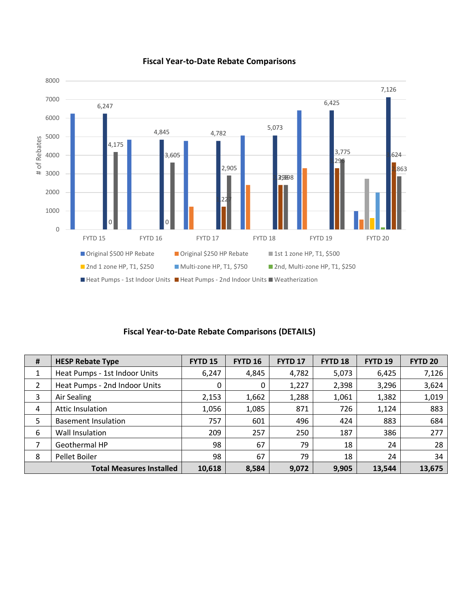

#### **Fiscal Year-to-Date Rebate Comparisons**

## **Fiscal Year-to-Date Rebate Comparisons (DETAILS)**

| # | <b>HESP Rebate Type</b>         | <b>FYTD 15</b> | <b>FYTD 16</b> | <b>FYTD 17</b> | <b>FYTD 18</b> | <b>FYTD 19</b> | <b>FYTD 20</b> |
|---|---------------------------------|----------------|----------------|----------------|----------------|----------------|----------------|
| 1 | Heat Pumps - 1st Indoor Units   | 6,247          | 4,845          | 4,782          | 5,073          | 6,425          | 7,126          |
| 2 | Heat Pumps - 2nd Indoor Units   | 0              | 0              | 1,227          | 2,398          | 3,296          | 3,624          |
| 3 | Air Sealing                     | 2,153          | 1,662          | 1,288          | 1,061          | 1,382          | 1,019          |
| 4 | Attic Insulation                | 1,056          | 1,085          | 871            | 726            | 1,124          | 883            |
| 5 | <b>Basement Insulation</b>      | 757            | 601            | 496            | 424            | 883            | 684            |
| 6 | Wall Insulation                 | 209            | 257            | 250            | 187            | 386            | 277            |
| 7 | Geothermal HP                   | 98             | 67             | 79             | 18             | 24             | 28             |
| 8 | Pellet Boiler                   | 98             | 67             | 79             | 18             | 24             | 34             |
|   | <b>Total Measures Installed</b> | 10,618         | 8,584          | 9,072          | 9,905          | 13,544         | 13,675         |